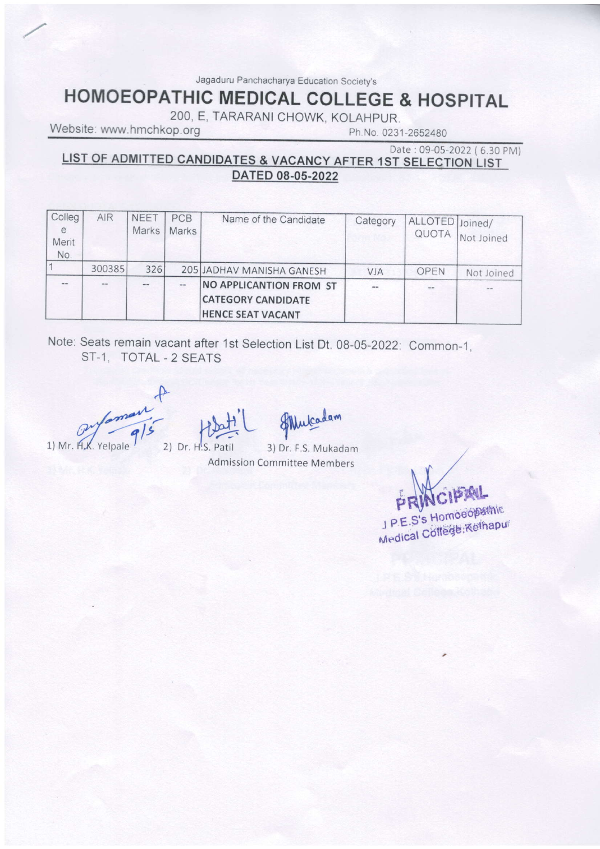Jagaduru Panchacharya Education Society's

# **HOMOEOPATHIC MEDICAL COLLEGE & HOSPITAL**

200, E, TARARANI CHOWK, KOLAHPUR.

Website: www.hmchkop.org

Ph.No. 0231-2652480

### Date: 09-05-2022 (6.30 PM) LIST OF ADMITTED CANDIDATES & VACANCY AFTER 1ST SELECTION LIST DATED 08-05-2022

| Colleg<br>e<br>Merit<br>No. | AIR    | <b>NEET</b><br><b>Marks</b> | PCB<br><b>Marks</b> | Name of the Candidate                                                            | Category | ALLOTED Joined/<br>QUOTA | Not Joined |
|-----------------------------|--------|-----------------------------|---------------------|----------------------------------------------------------------------------------|----------|--------------------------|------------|
|                             | 300385 | 326                         |                     | 205 JADHAV MANISHA GANESH                                                        | VJA      | OPEN                     | Not Joined |
| $-1$                        | $-1$   |                             | $-$                 | NO APPLICANTION FROM ST<br><b>CATEGORY CANDIDATE</b><br><b>HENCE SEAT VACANT</b> |          |                          | $-1$       |

Note: Seats remain vacant after 1st Selection List Dt. 08-05-2022: Common-1, ST-1, TOTAL - 2 SEATS

 $\frac{1}{\sqrt{9}}$ 1) Mr. H.K. Yelpale

2) Dr. H.S. Patil

Flucadam

3) Dr. F.S. Mukadam **Admission Committee Members** 

J P.E.S's Homoeoperinic Medical College: Kethapur